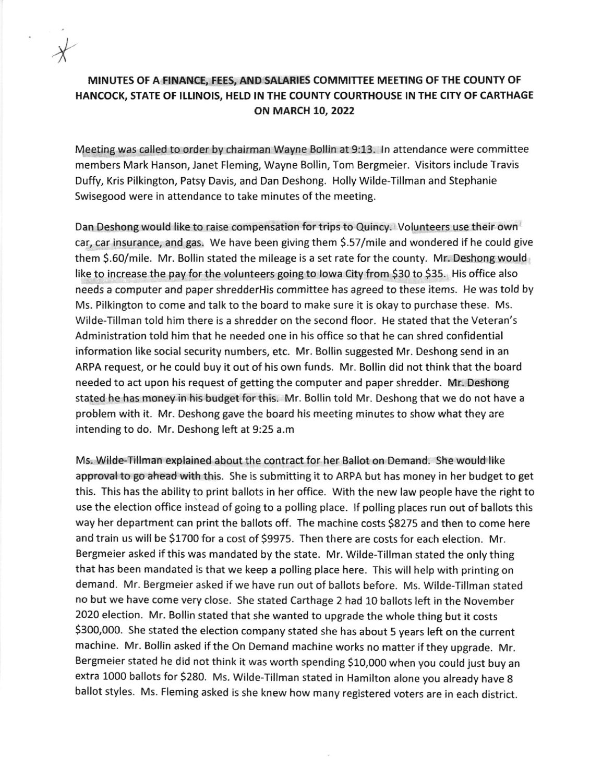## MINUTES OF A FINANCE, FEES, AND SALARIES COMMITTEE MEETING OF THE COUNTY OF HANCOCK, STATE OF ILLINOIS, HELD IN THE COUNTY COURTHOUSE IN THE CITY OF CARTHAGE ON MARCH 10, 2022

\*

Meetlng was called to order by chairman Wayne Bollin at 9:13. ln attendance were committee members Mark Hanson, Janet Fleming, Wayne Bollln, Tom Bergmeier. Visitors include Travis Duffy, Kris Pilkington, Patsy Davis, and Dan Deshong. Holly Wilde-Tillman and Stephanie Swisegood were in attendance to take minutes of the meeting.

Dan Deshong would like to raise compensation for trips to Quincy. Volunteers use their own car, car insurance, and gas. We have been giving them \$.S7/mile and wondered if he could give them S.60/mile. Mr. Bollin stated the mileage is a set rate for the county. Mr. Deshong would like to increase the pay for the volunteers going to lowa City from \$30 to \$35. His office also needs a computer and paper shredderHis committee has agreed to these items. He was told by Ms. Pilkington to come and talk to the board to make sure it is okay to purchase these. Ms. Wilde-Tillman told him there is a shredder on the second floor. He stated that the Veteran's Administration told him that he needed one in his office so that he can shred confidential information like social security numbers, etc. Mr. Bollin suggested Mr. Deshong send in an ARPA request, or he could buy it out of his own funds. Mr. Bollin did not think that the board needed to act upon his request of getting the computer and paper shredder. Mr. Deshong stated he has money in his budget for this. Mr. Bollin told Mr. Deshong that we do not have <sup>a</sup> problem with it. Mr. Deshong gave the board his meeting minutes to show what they are intending to do. Mr. Deshong left at 9:25 a.m

Ms. Wilde-Tillman explained about the contract for her Ballot on Demand. She would like approval to go ahead with this. She is submitting it to ARPA but has money in her budget to get this. This has the ability to print ballots in her office. With the new law people have the right to use the election office instead of going to a polling place. If polling places run out of ballots this way her department can print the ballots off. The machine costs 58275 and then to come here and train us will be 51700 for a cost of 59975. Then there are costs for each election. Mr. Bergmeier asked if this was mandated by the state. Mr. Wilde-Tillman stated the only thing that has been mandated is that we keep a polling place here. This will help with printing on demand. Mr. Bergmeier asked if we have run out of ballots before. Ms. Wilde-Tillman stated no but we have come very close. She stated Carthage 2 had 10 ballots left in the November 2020 election. Mr. Bollin stated that she wanted to upgrade the whole thing but it costs 5300,000. She stated the election company stated she has about 5 years left on the current machine. Mr. Bollin asked if the On Demand machine works no matter if they upgrade. Mr. Bergmeier stated he did not think it was worth spending \$10,000 when you could just buy an extra 1000 ballots for 5280. Ms. wilde-Tillman stated in Hamilton alone you already have <sup>g</sup> ballot styles. Ms. Fleming asked is she knew how many registered voters are in each district.